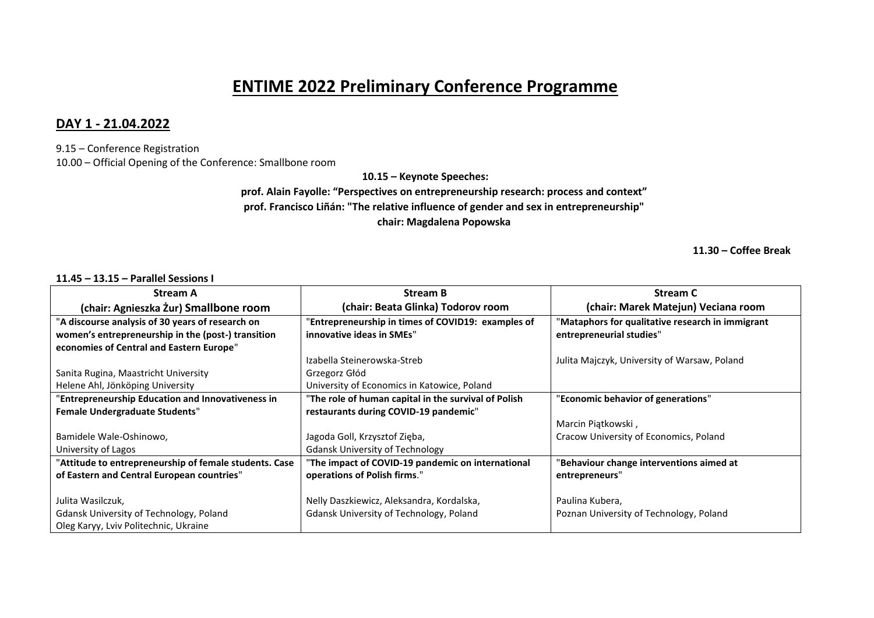# **ENTIME 2022 Preliminary Conference Programme**

## **DAY 1 - 21.04.2022**

9.15 – Conference Registration 10.00 – Official Opening of the Conference: Smallbone room

**10.15 – Keynote Speeches:**

**prof. Alain Fayolle: "Perspectives on entrepreneurship research: process and context" prof. Francisco Liñán: "The relative influence of gender and sex in entrepreneurship" chair: Magdalena Popowska**

**11.30 – Coffee Break**

### **11.45 – 13.15 – Parallel Sessions I**

| <b>Stream A</b>                                        | <b>Stream B</b>                                      | <b>Stream C</b>                                  |
|--------------------------------------------------------|------------------------------------------------------|--------------------------------------------------|
| (chair: Agnieszka Żur) Smallbone room                  | (chair: Beata Glinka) Todorov room                   | (chair: Marek Matejun) Veciana room              |
| "A discourse analysis of 30 years of research on       | 'Entrepreneurship in times of COVID19: examples of   | "Mataphors for qualitative research in immigrant |
| women's entrepreneurship in the (post-) transition     | innovative ideas in SMEs"                            | entrepreneurial studies"                         |
| economies of Central and Eastern Europe"               |                                                      |                                                  |
|                                                        | Izabella Steinerowska-Streb                          | Julita Majczyk, University of Warsaw, Poland     |
| Sanita Rugina, Maastricht University                   | Grzegorz Głód                                        |                                                  |
| Helene Ahl, Jönköping University                       | University of Economics in Katowice, Poland          |                                                  |
| "Entrepreneurship Education and Innovativeness in      | "The role of human capital in the survival of Polish | "Economic behavior of generations"               |
| <b>Female Undergraduate Students"</b>                  | restaurants during COVID-19 pandemic"                |                                                  |
|                                                        |                                                      | Marcin Piątkowski,                               |
| Bamidele Wale-Oshinowo,                                | Jagoda Goll, Krzysztof Zięba,                        | Cracow University of Economics, Poland           |
| University of Lagos                                    | <b>Gdansk University of Technology</b>               |                                                  |
| "Attitude to entrepreneurship of female students. Case | "The impact of COVID-19 pandemic on international    | 'Behaviour change interventions aimed at         |
| of Eastern and Central European countries"             | operations of Polish firms."                         | entrepreneurs"                                   |
|                                                        |                                                      |                                                  |
| Julita Wasilczuk,                                      | Nelly Daszkiewicz, Aleksandra, Kordalska,            | Paulina Kubera,                                  |
| <b>Gdansk University of Technology, Poland</b>         | <b>Gdansk University of Technology, Poland</b>       | Poznan University of Technology, Poland          |
| Oleg Karyy, Lviv Politechnic, Ukraine                  |                                                      |                                                  |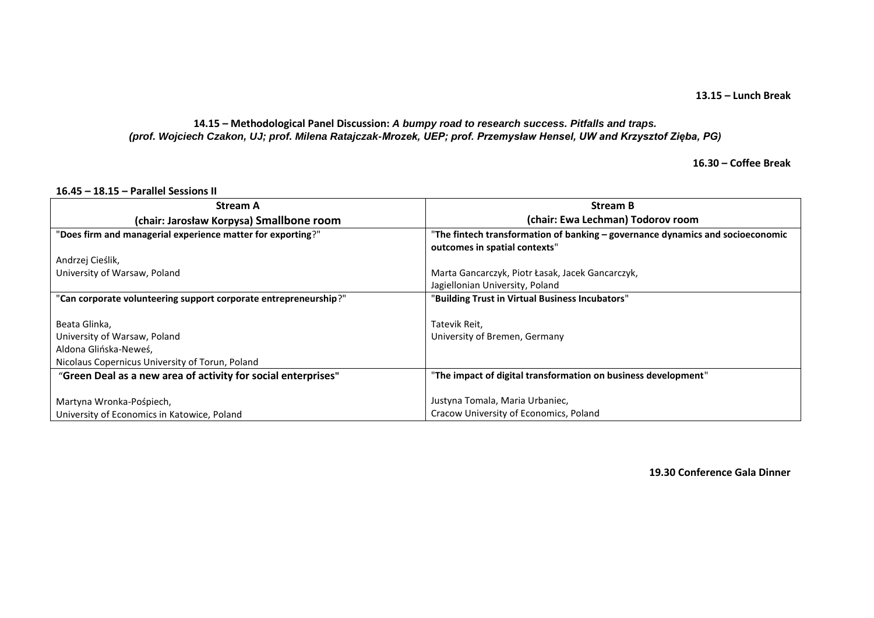## **13.15 – Lunch Break**

#### **14.15 – Methodological Panel Discussion:** *A bumpy road to research success. Pitfalls and traps. (prof. Wojciech Czakon, UJ; prof. Milena Ratajczak-Mrozek, UEP; prof. Przemysław Hensel, UW and Krzysztof Zięba, PG)*

**16.30 – Coffee Break**

| <b>Stream A</b>                                                  | <b>Stream B</b>                                                                |
|------------------------------------------------------------------|--------------------------------------------------------------------------------|
| (chair: Jarosław Korpysa) Smallbone room                         | (chair: Ewa Lechman) Todorov room                                              |
| "Does firm and managerial experience matter for exporting?"      | "The fintech transformation of banking - governance dynamics and socioeconomic |
|                                                                  | outcomes in spatial contexts"                                                  |
| Andrzej Cieślik,                                                 |                                                                                |
| University of Warsaw, Poland                                     | Marta Gancarczyk, Piotr Łasak, Jacek Gancarczyk,                               |
|                                                                  | Jagiellonian University, Poland                                                |
| "Can corporate volunteering support corporate entrepreneurship?" | "Building Trust in Virtual Business Incubators"                                |
|                                                                  |                                                                                |
| Beata Glinka,                                                    | Tatevik Reit,                                                                  |
| University of Warsaw, Poland                                     | University of Bremen, Germany                                                  |
| Aldona Glińska-Neweś,                                            |                                                                                |
| Nicolaus Copernicus University of Torun, Poland                  |                                                                                |
| "Green Deal as a new area of activity for social enterprises"    | "The impact of digital transformation on business development"                 |
|                                                                  |                                                                                |
| Martyna Wronka-Pośpiech,                                         | Justyna Tomala, Maria Urbaniec,                                                |
| University of Economics in Katowice, Poland                      | Cracow University of Economics, Poland                                         |

**16.45 – 18.15 – Parallel Sessions II** 

**19.30 Conference Gala Dinner**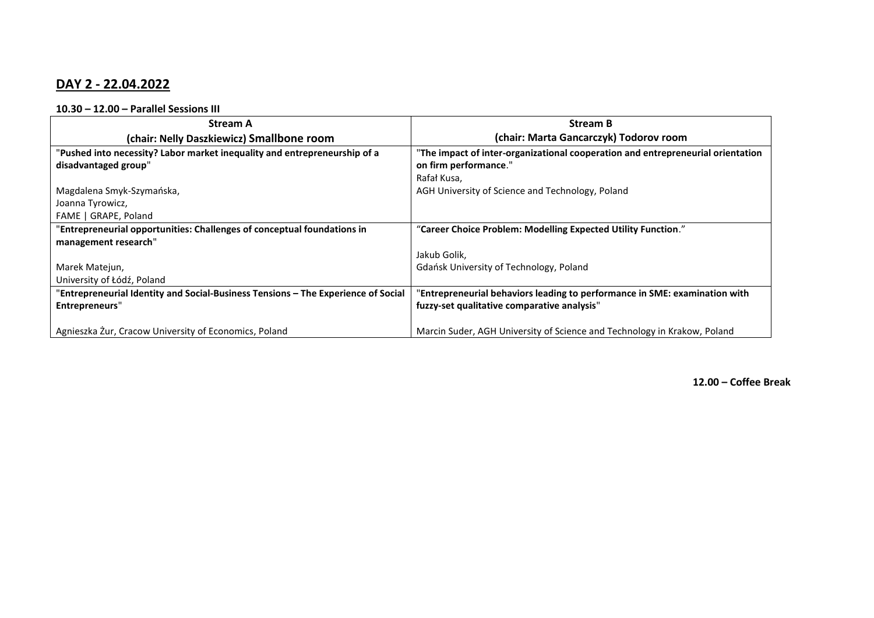## **DAY 2 - 22.04.2022**

**10.30 – 12.00 – Parallel Sessions III**

| <b>Stream A</b>                                                                   | <b>Stream B</b>                                                                 |
|-----------------------------------------------------------------------------------|---------------------------------------------------------------------------------|
| (chair: Nelly Daszkiewicz) Smallbone room                                         | (chair: Marta Gancarczyk) Todorov room                                          |
| "Pushed into necessity? Labor market inequality and entrepreneurship of a         | "The impact of inter-organizational cooperation and entrepreneurial orientation |
| disadvantaged group"                                                              | on firm performance."                                                           |
|                                                                                   | Rafał Kusa,                                                                     |
| Magdalena Smyk-Szymańska,                                                         | AGH University of Science and Technology, Poland                                |
| Joanna Tyrowicz,                                                                  |                                                                                 |
| FAME   GRAPE, Poland                                                              |                                                                                 |
| "Entrepreneurial opportunities: Challenges of conceptual foundations in           | "Career Choice Problem: Modelling Expected Utility Function."                   |
| management research"                                                              |                                                                                 |
|                                                                                   | Jakub Golik,                                                                    |
| Marek Matejun,                                                                    | Gdańsk University of Technology, Poland                                         |
| University of Łódź, Poland                                                        |                                                                                 |
| "Entrepreneurial Identity and Social-Business Tensions - The Experience of Social | "Entrepreneurial behaviors leading to performance in SME: examination with      |
| Entrepreneurs"                                                                    | fuzzy-set qualitative comparative analysis"                                     |
|                                                                                   |                                                                                 |
| Agnieszka Żur, Cracow University of Economics, Poland                             | Marcin Suder, AGH University of Science and Technology in Krakow, Poland        |

**12.00 – Coffee Break**